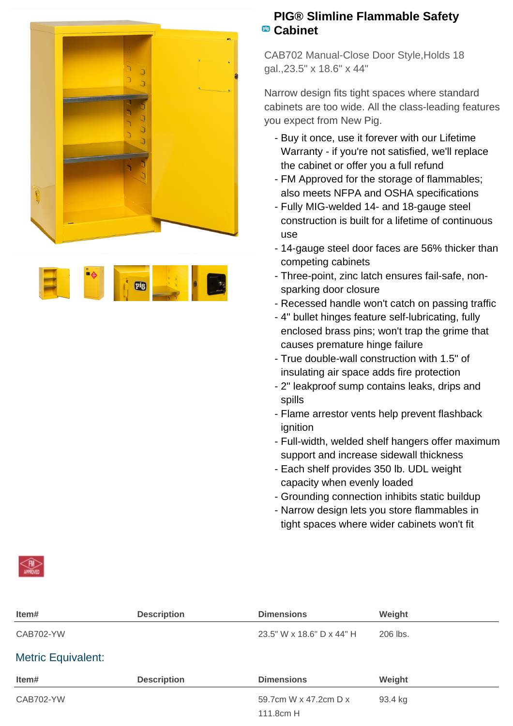



# **PIG® Slimline Flammable Safety Cabinet**

CAB702 Manual-Close Door Style,Holds 18 gal.,23.5" x 18.6" x 44"

Narrow design fits tight spaces where standard cabinets are too wide. All the class-leading features you expect from New Pig.

- Buy it once, use it forever with our Lifetime Warranty - if you're not satisfied, we'll replace the cabinet or offer you a full refund
- FM Approved for the storage of flammables; also meets NFPA and OSHA specifications
- Fully MIG-welded 14- and 18-gauge steel construction is built for a lifetime of continuous use
- 14-gauge steel door faces are 56% thicker than competing cabinets
- Three-point, zinc latch ensures fail-safe, non- sparking door closure
- Recessed handle won't catch on passing traffic
- 4" bullet hinges feature self-lubricating, fully enclosed brass pins; won't trap the grime that causes premature hinge failure
- True double-wall construction with 1.5" of insulating air space adds fire protection
- 2" leakproof sump contains leaks, drips and spills
- Flame arrestor vents help prevent flashback ignition
- Full-width, welded shelf hangers offer maximum support and increase sidewall thickness
- Each shelf provides 350 lb. UDL weight capacity when evenly loaded
- Grounding connection inhibits static buildup
- Narrow design lets you store flammables in tight spaces where wider cabinets won't fit

| Item#              | <b>Description</b> | <b>Dimensions</b>         | Weight   |  |
|--------------------|--------------------|---------------------------|----------|--|
| CAB702-YW          |                    | 23.5" W x 18.6" D x 44" H | 206 lbs. |  |
| Metric Equivalent: |                    |                           |          |  |
| Item#              | <b>Description</b> | <b>Dimensions</b>         | Weight   |  |
| CAB702-YW          |                    | 59.7cm W x 47.2cm D x     | 93.4 kg  |  |
|                    |                    | 111.8cm H                 |          |  |